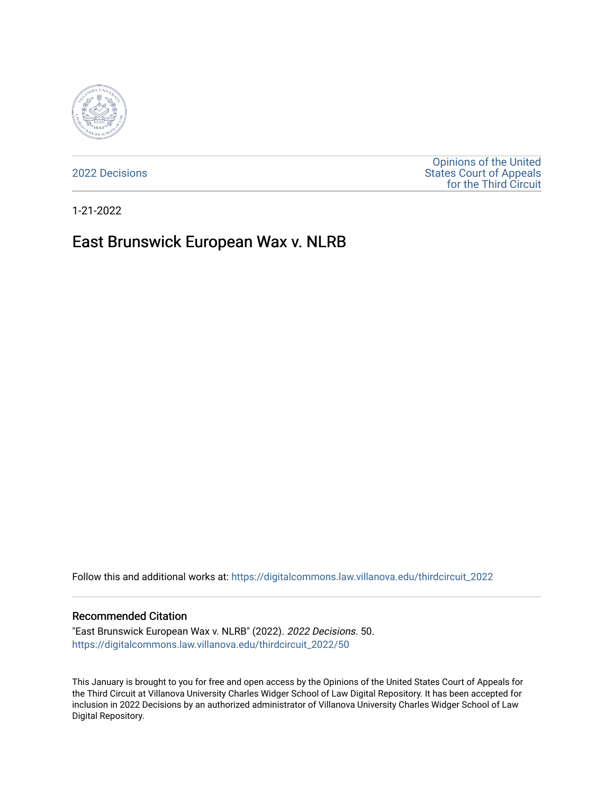

[2022 Decisions](https://digitalcommons.law.villanova.edu/thirdcircuit_2022)

[Opinions of the United](https://digitalcommons.law.villanova.edu/thirdcircuit)  [States Court of Appeals](https://digitalcommons.law.villanova.edu/thirdcircuit)  [for the Third Circuit](https://digitalcommons.law.villanova.edu/thirdcircuit) 

1-21-2022

# East Brunswick European Wax v. NLRB

Follow this and additional works at: [https://digitalcommons.law.villanova.edu/thirdcircuit\\_2022](https://digitalcommons.law.villanova.edu/thirdcircuit_2022?utm_source=digitalcommons.law.villanova.edu%2Fthirdcircuit_2022%2F50&utm_medium=PDF&utm_campaign=PDFCoverPages) 

#### Recommended Citation

"East Brunswick European Wax v. NLRB" (2022). 2022 Decisions. 50. [https://digitalcommons.law.villanova.edu/thirdcircuit\\_2022/50](https://digitalcommons.law.villanova.edu/thirdcircuit_2022/50?utm_source=digitalcommons.law.villanova.edu%2Fthirdcircuit_2022%2F50&utm_medium=PDF&utm_campaign=PDFCoverPages)

This January is brought to you for free and open access by the Opinions of the United States Court of Appeals for the Third Circuit at Villanova University Charles Widger School of Law Digital Repository. It has been accepted for inclusion in 2022 Decisions by an authorized administrator of Villanova University Charles Widger School of Law Digital Repository.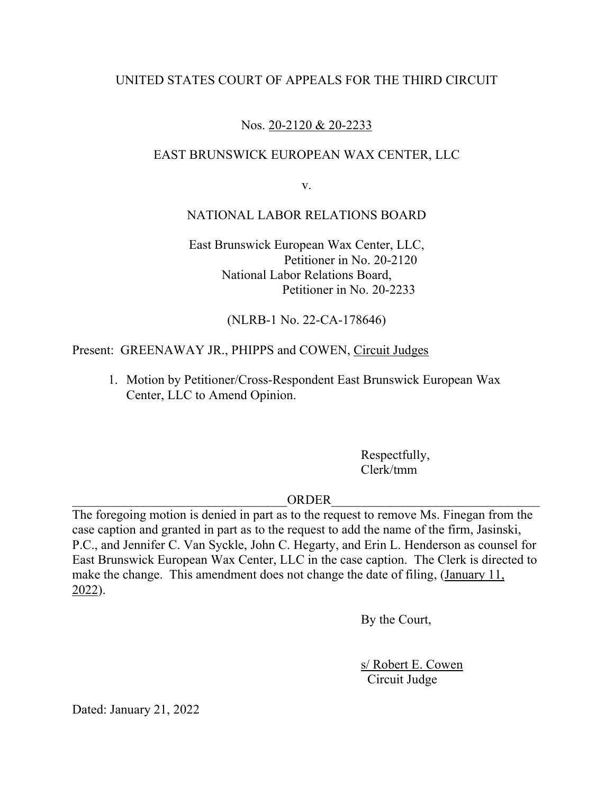# UNITED STATES COURT OF APPEALS FOR THE THIRD CIRCUIT

# Nos. 20-2120 & 20-2233

#### EAST BRUNSWICK EUROPEAN WAX CENTER, LLC

v.

#### NATIONAL LABOR RELATIONS BOARD

East Brunswick European Wax Center, LLC, Petitioner in No. 20-2120 National Labor Relations Board, Petitioner in No. 20-2233

(NLRB-1 No. 22-CA-178646)

#### Present: GREENAWAY JR., PHIPPS and COWEN, Circuit Judges

1. Motion by Petitioner/Cross-Respondent East Brunswick European Wax Center, LLC to Amend Opinion.

> Respectfully, Clerk/tmm

# $ORDER$

The foregoing motion is denied in part as to the request to remove Ms. Finegan from the case caption and granted in part as to the request to add the name of the firm, Jasinski, P.C., and Jennifer C. Van Syckle, John C. Hegarty, and Erin L. Henderson as counsel for East Brunswick European Wax Center, LLC in the case caption. The Clerk is directed to make the change. This amendment does not change the date of filing, (January 11, 2022).

By the Court,

s/ Robert E. Cowen Circuit Judge

Dated: January 21, 2022